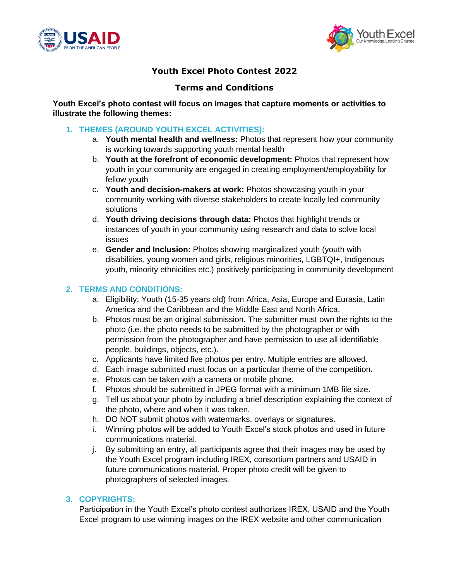



# **Youth Excel Photo Contest 2022**

# **Terms and Conditions**

**Youth Excel's photo contest will focus on images that capture moments or activities to illustrate the following themes:**

## **1. THEMES (AROUND YOUTH EXCEL ACTIVITIES):**

- a. **Youth mental health and wellness:** Photos that represent how your community is working towards supporting youth mental health
- b. **Youth at the forefront of economic development:** Photos that represent how youth in your community are engaged in creating employment/employability for fellow youth
- c. **Youth and decision-makers at work:** Photos showcasing youth in your community working with diverse stakeholders to create locally led community solutions
- d. **Youth driving decisions through data:** Photos that highlight trends or instances of youth in your community using research and data to solve local issues
- e. **Gender and Inclusion:** Photos showing marginalized youth (youth with disabilities, young women and girls, religious minorities, LGBTQI+, Indigenous youth, minority ethnicities etc.) positively participating in community development

## **2. TERMS AND CONDITIONS:**

- a. Eligibility: Youth (15-35 years old) from Africa, Asia, Europe and Eurasia, Latin America and the Caribbean and the Middle East and North Africa.
- b. Photos must be an original submission. The submitter must own the rights to the photo (i.e. the photo needs to be submitted by the photographer or with permission from the photographer and have permission to use all identifiable people, buildings, objects, etc.).
- c. Applicants have limited five photos per entry. Multiple entries are allowed.
- d. Each image submitted must focus on a particular theme of the competition.
- e. Photos can be taken with a camera or mobile phone.
- f. Photos should be submitted in JPEG format with a minimum 1MB file size.
- g. Tell us about your photo by including a brief description explaining the context of the photo, where and when it was taken.
- h. DO NOT submit photos with watermarks, overlays or signatures.
- i. Winning photos will be added to Youth Excel's stock photos and used in future communications material.
- j. By submitting an entry, all participants agree that their images may be used by the Youth Excel program including IREX, consortium partners and USAID in future communications material. Proper photo credit will be given to photographers of selected images.

#### **3. COPYRIGHTS:**

Participation in the Youth Excel's photo contest authorizes IREX, USAID and the Youth Excel program to use winning images on the IREX website and other communication